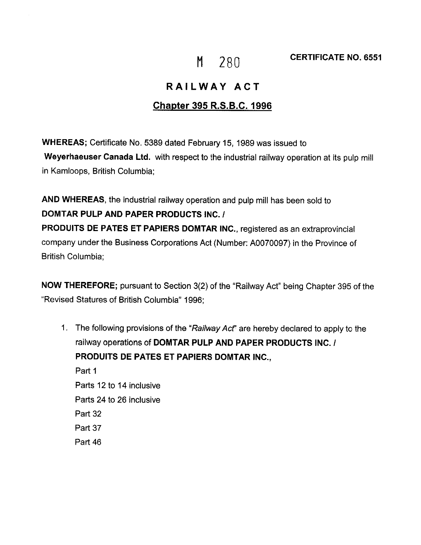## **RAILWAY ACT**

## **Chapter 395 R.S.B.C. 1996**

**WHEREAS;** Certificate No. 5389 dated February 15, 1989 was issued to **Weyerhaeuser Canada Ltd.** with respect to the industrial railway operation at its pulp mill in Kamloops, British Columbia;

**AND WHEREAS,** the industrial railway operation and pulp mill has been sold to **DOMTAR PULP AND PAPER PRODUCTS INC./ PRODUITS DE PATES ET PAPIERS DOMTAR INC.,** registered as an extraprovincial company under the Business Corporations Act (Number: A0070097) in the Province of British Columbia;

**NOW THEREFORE;** pursuant to Section 3(2) of the "Railway Act" being Chapter 395 of the "Revised Statures of British Columbia" 1996;

1. The following provisions of the "Railway Acf' are hereby declared to apply to the railway operations of **DOMTAR PULP AND PAPER PRODUCTS INC./ PRODUITS DE PATES ET PAPIERS DOMTAR INC.,**  Part 1 Parts 12 to 14 inclusive Parts 24 to 26 inclusive Part 32 Part 37 Part 46